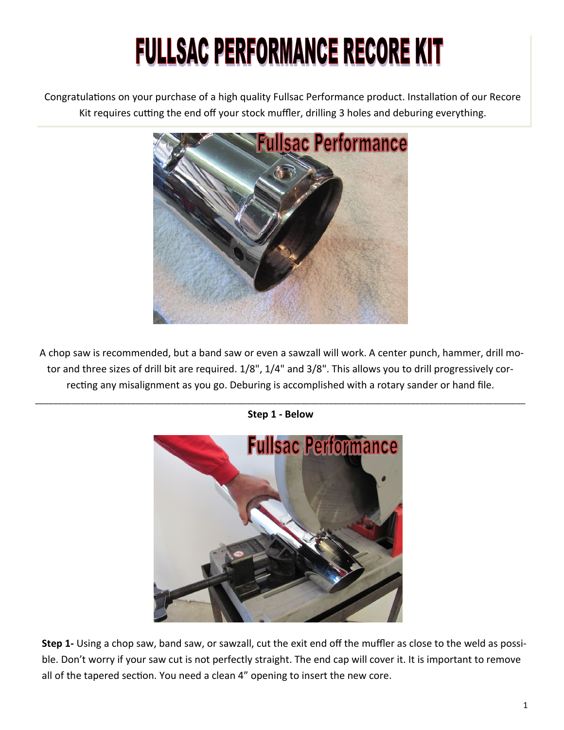## **FULLSAC PERFORMANCE RECORE KIT**

Congratulations on your purchase of a high quality Fullsac Performance product. Installation of our Recore Kit requires cutting the end off your stock muffler, drilling 3 holes and deburing everything.



A chop saw is recommended, but a band saw or even a sawzall will work. A center punch, hammer, drill motor and three sizes of drill bit are required. 1/8", 1/4" and 3/8". This allows you to drill progressively correcting any misalignment as you go. Deburing is accomplished with a rotary sander or hand file.



\_\_\_\_\_\_\_\_\_\_\_\_\_\_\_\_\_\_\_\_\_\_\_\_\_\_\_\_\_\_\_\_\_\_\_\_\_\_\_\_\_\_\_\_\_\_\_\_\_\_\_\_\_\_\_\_\_\_\_\_\_\_\_\_\_\_\_\_\_\_\_\_\_\_\_\_\_\_\_\_\_\_\_\_\_\_\_\_\_\_\_\_\_\_\_\_\_\_\_\_\_\_\_\_\_\_\_ **Step 1 - Below**

**Step 1-** Using a chop saw, band saw, or sawzall, cut the exit end off the muffler as close to the weld as possible. Don't worry if your saw cut is not perfectly straight. The end cap will cover it. It is important to remove all of the tapered section. You need a clean 4" opening to insert the new core.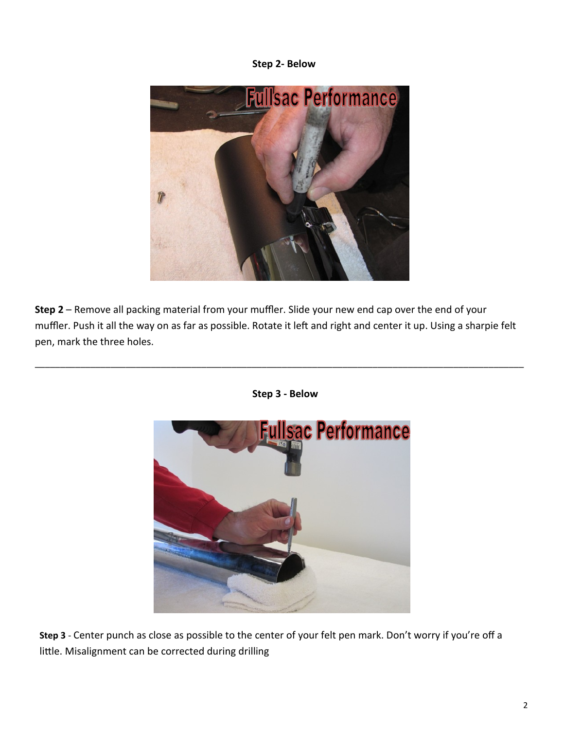**Step 2- Below**



**Step 2** – Remove all packing material from your muffler. Slide your new end cap over the end of your muffler. Push it all the way on as far as possible. Rotate it left and right and center it up. Using a sharpie felt pen, mark the three holes.

\_\_\_\_\_\_\_\_\_\_\_\_\_\_\_\_\_\_\_\_\_\_\_\_\_\_\_\_\_\_\_\_\_\_\_\_\_\_\_\_\_\_\_\_\_\_\_\_\_\_\_\_\_\_\_\_\_\_\_\_\_\_\_\_\_\_\_\_\_\_\_\_\_\_\_\_\_\_\_\_\_\_\_\_\_\_\_\_\_\_\_\_\_\_\_\_\_



**Step 3 - Below**

**Step 3** - Center punch as close as possible to the center of your felt pen mark. Don't worry if you're off a little. Misalignment can be corrected during drilling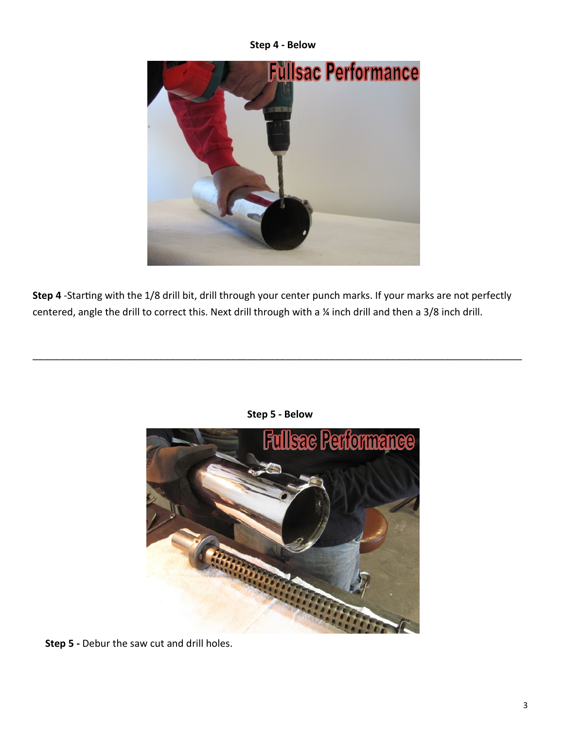**Step 4 - Below**



**Step 4** -Starting with the 1/8 drill bit, drill through your center punch marks. If your marks are not perfectly centered, angle the drill to correct this. Next drill through with a ¼ inch drill and then a 3/8 inch drill.



**Step 5 - Below**

\_\_\_\_\_\_\_\_\_\_\_\_\_\_\_\_\_\_\_\_\_\_\_\_\_\_\_\_\_\_\_\_\_\_\_\_\_\_\_\_\_\_\_\_\_\_\_\_\_\_\_\_\_\_\_\_\_\_\_\_\_\_\_\_\_\_\_\_\_\_\_\_\_\_\_\_\_\_\_\_\_\_\_\_\_\_\_\_\_

**Step 5 -** Debur the saw cut and drill holes.